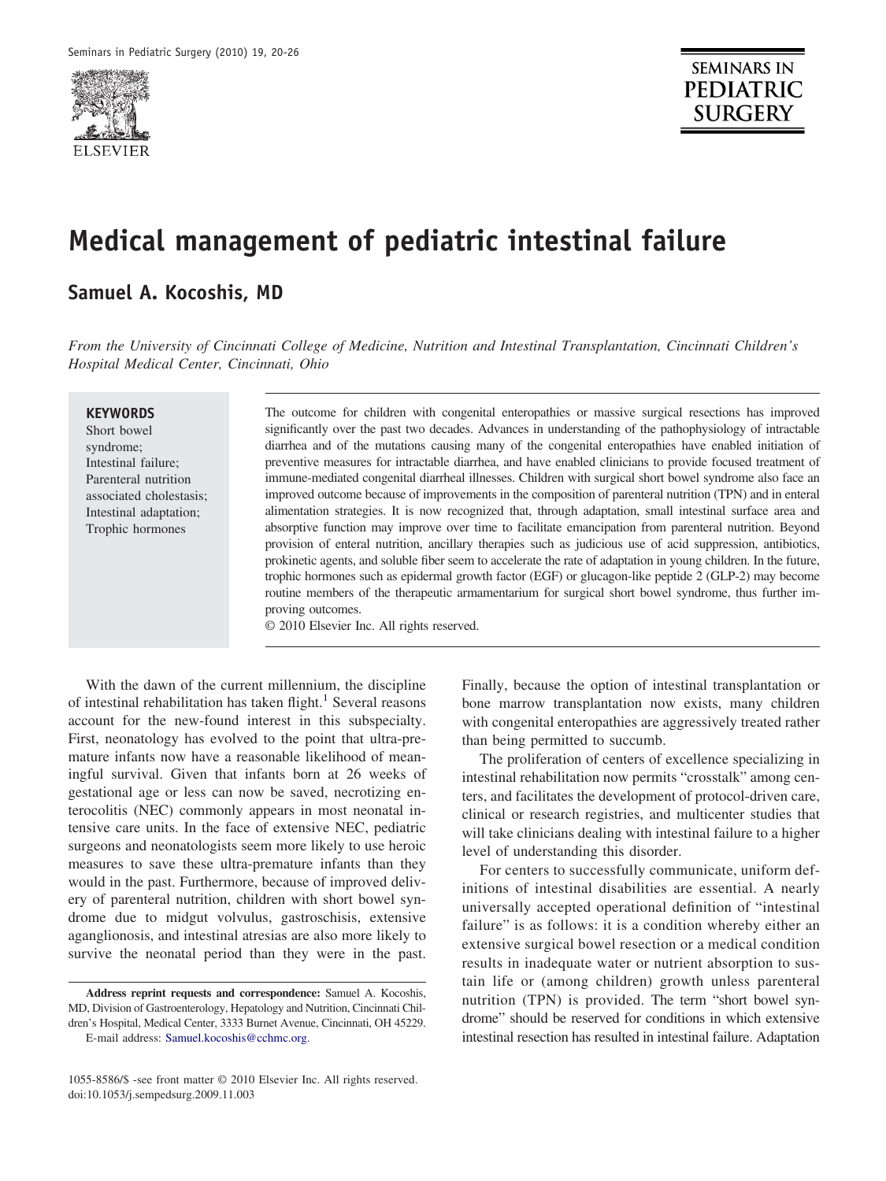



# **Medical management of pediatric intestinal failure**

# **Samuel A. Kocoshis, MD**

*From the University of Cincinnati College of Medicine, Nutrition and Intestinal Transplantation, Cincinnati Children's Hospital Medical Center, Cincinnati, Ohio*

#### **KEYWORDS**

Short bowel syndrome; Intestinal failure; Parenteral nutrition associated cholestasis; Intestinal adaptation; Trophic hormones

The outcome for children with congenital enteropathies or massive surgical resections has improved significantly over the past two decades. Advances in understanding of the pathophysiology of intractable diarrhea and of the mutations causing many of the congenital enteropathies have enabled initiation of preventive measures for intractable diarrhea, and have enabled clinicians to provide focused treatment of immune-mediated congenital diarrheal illnesses. Children with surgical short bowel syndrome also face an improved outcome because of improvements in the composition of parenteral nutrition (TPN) and in enteral alimentation strategies. It is now recognized that, through adaptation, small intestinal surface area and absorptive function may improve over time to facilitate emancipation from parenteral nutrition. Beyond provision of enteral nutrition, ancillary therapies such as judicious use of acid suppression, antibiotics, prokinetic agents, and soluble fiber seem to accelerate the rate of adaptation in young children. In the future, trophic hormones such as epidermal growth factor (EGF) or glucagon-like peptide 2 (GLP-2) may become routine members of the therapeutic armamentarium for surgical short bowel syndrome, thus further improving outcomes.

© 2010 Elsevier Inc. All rights reserved.

With the dawn of the current millennium, the discipline of intestinal rehabilitation has taken flight.<sup>1</sup> Several reasons account for the new-found interest in this subspecialty. First, neonatology has evolved to the point that ultra-premature infants now have a reasonable likelihood of meaningful survival. Given that infants born at 26 weeks of gestational age or less can now be saved, necrotizing enterocolitis (NEC) commonly appears in most neonatal intensive care units. In the face of extensive NEC, pediatric surgeons and neonatologists seem more likely to use heroic measures to save these ultra-premature infants than they would in the past. Furthermore, because of improved delivery of parenteral nutrition, children with short bowel syndrome due to midgut volvulus, gastroschisis, extensive aganglionosis, and intestinal atresias are also more likely to survive the neonatal period than they were in the past.

1055-8586/\$ -see front matter © 2010 Elsevier Inc. All rights reserved. doi:10.1053/j.sempedsurg.2009.11.003

Finally, because the option of intestinal transplantation or bone marrow transplantation now exists, many children with congenital enteropathies are aggressively treated rather than being permitted to succumb.

The proliferation of centers of excellence specializing in intestinal rehabilitation now permits "crosstalk" among centers, and facilitates the development of protocol-driven care, clinical or research registries, and multicenter studies that will take clinicians dealing with intestinal failure to a higher level of understanding this disorder.

For centers to successfully communicate, uniform definitions of intestinal disabilities are essential. A nearly universally accepted operational definition of "intestinal failure" is as follows: it is a condition whereby either an extensive surgical bowel resection or a medical condition results in inadequate water or nutrient absorption to sustain life or (among children) growth unless parenteral nutrition (TPN) is provided. The term "short bowel syndrome" should be reserved for conditions in which extensive intestinal resection has resulted in intestinal failure. Adaptation

**Address reprint requests and correspondence:** Samuel A. Kocoshis, MD, Division of Gastroenterology, Hepatology and Nutrition, Cincinnati Children's Hospital, Medical Center, 3333 Burnet Avenue, Cincinnati, OH 45229. E-mail address: [Samuel.kocoshis@cchmc.org.](mailto:Samuel.kocoshis@cchmc.org)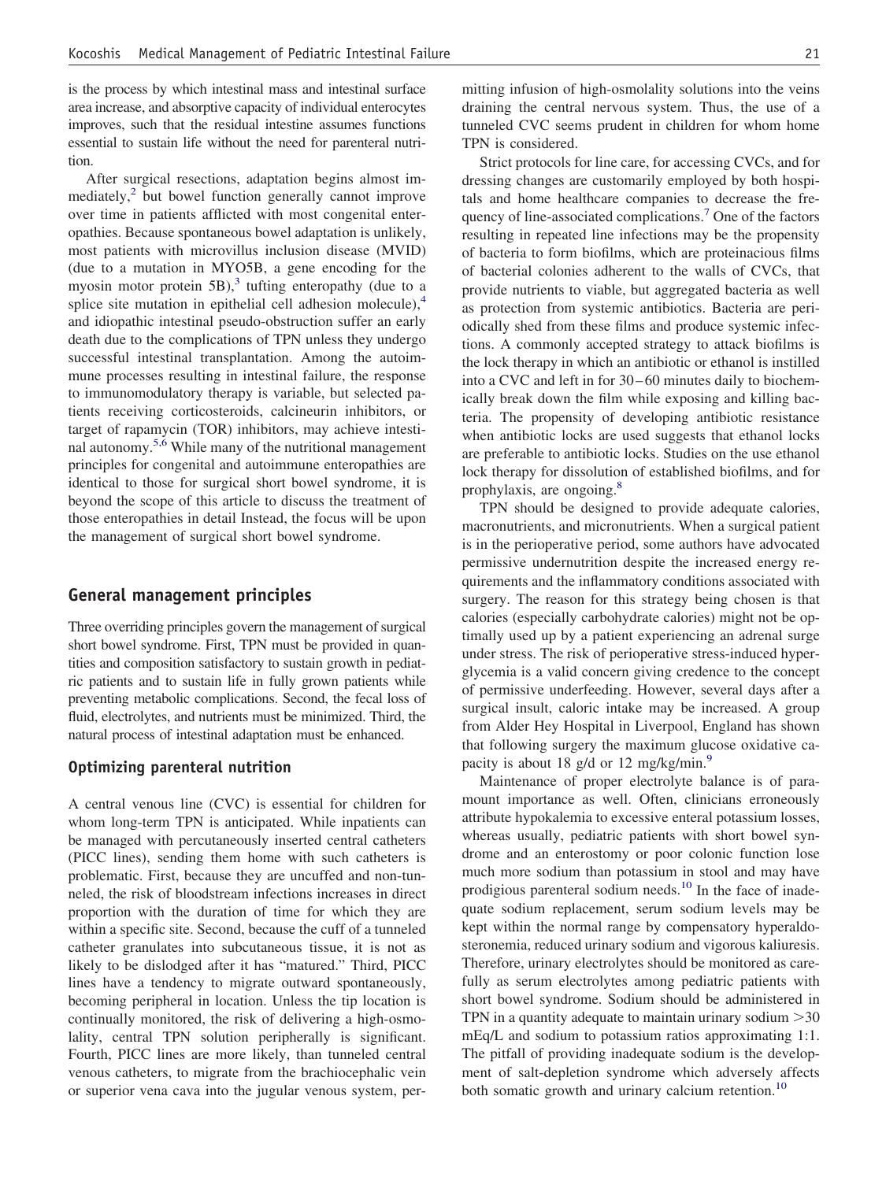is the process by which intestinal mass and intestinal surface area increase, and absorptive capacity of individual enterocytes improves, such that the residual intestine assumes functions essential to sustain life without the need for parenteral nutrition.

After surgical resections, adaptation begins almost immediately, $\lambda$  but bowel function generally cannot improve over time in patients afflicted with most congenital enteropathies. Because spontaneous bowel adaptation is unlikely, most patients with microvillus inclusion disease (MVID) (due to a mutation in MYO5B, a gene encoding for the myosin motor protein  $5B$ ),<sup>[3](#page-5-0)</sup> tufting enteropathy (due to a splice site mutation in epithelial cell adhesion molecule), $4$ and idiopathic intestinal pseudo-obstruction suffer an early death due to the complications of TPN unless they undergo successful intestinal transplantation. Among the autoimmune processes resulting in intestinal failure, the response to immunomodulatory therapy is variable, but selected patients receiving corticosteroids, calcineurin inhibitors, or target of rapamycin (TOR) inhibitors, may achieve intestinal autonomy.<sup>5,6</sup> While many of the nutritional management principles for congenital and autoimmune enteropathies are identical to those for surgical short bowel syndrome, it is beyond the scope of this article to discuss the treatment of those enteropathies in detail Instead, the focus will be upon the management of surgical short bowel syndrome.

## **General management principles**

Three overriding principles govern the management of surgical short bowel syndrome. First, TPN must be provided in quantities and composition satisfactory to sustain growth in pediatric patients and to sustain life in fully grown patients while preventing metabolic complications. Second, the fecal loss of fluid, electrolytes, and nutrients must be minimized. Third, the natural process of intestinal adaptation must be enhanced.

#### **Optimizing parenteral nutrition**

A central venous line (CVC) is essential for children for whom long-term TPN is anticipated. While inpatients can be managed with percutaneously inserted central catheters (PICC lines), sending them home with such catheters is problematic. First, because they are uncuffed and non-tunneled, the risk of bloodstream infections increases in direct proportion with the duration of time for which they are within a specific site. Second, because the cuff of a tunneled catheter granulates into subcutaneous tissue, it is not as likely to be dislodged after it has "matured." Third, PICC lines have a tendency to migrate outward spontaneously, becoming peripheral in location. Unless the tip location is continually monitored, the risk of delivering a high-osmolality, central TPN solution peripherally is significant. Fourth, PICC lines are more likely, than tunneled central venous catheters, to migrate from the brachiocephalic vein or superior vena cava into the jugular venous system, permitting infusion of high-osmolality solutions into the veins draining the central nervous system. Thus, the use of a tunneled CVC seems prudent in children for whom home TPN is considered.

Strict protocols for line care, for accessing CVCs, and for dressing changes are customarily employed by both hospitals and home healthcare companies to decrease the frequency of line-associated complications.[7](#page-5-0) One of the factors resulting in repeated line infections may be the propensity of bacteria to form biofilms, which are proteinacious films of bacterial colonies adherent to the walls of CVCs, that provide nutrients to viable, but aggregated bacteria as well as protection from systemic antibiotics. Bacteria are periodically shed from these films and produce systemic infections. A commonly accepted strategy to attack biofilms is the lock therapy in which an antibiotic or ethanol is instilled into a CVC and left in for 30 – 60 minutes daily to biochemically break down the film while exposing and killing bacteria. The propensity of developing antibiotic resistance when antibiotic locks are used suggests that ethanol locks are preferable to antibiotic locks. Studies on the use ethanol lock therapy for dissolution of established biofilms, and for prophylaxis, are ongoing.<sup>8</sup>

TPN should be designed to provide adequate calories, macronutrients, and micronutrients. When a surgical patient is in the perioperative period, some authors have advocated permissive undernutrition despite the increased energy requirements and the inflammatory conditions associated with surgery. The reason for this strategy being chosen is that calories (especially carbohydrate calories) might not be optimally used up by a patient experiencing an adrenal surge under stress. The risk of perioperative stress-induced hyperglycemia is a valid concern giving credence to the concept of permissive underfeeding. However, several days after a surgical insult, caloric intake may be increased. A group from Alder Hey Hospital in Liverpool, England has shown that following surgery the maximum glucose oxidative capacity is about 18 g/d or 12 mg/kg/min.<sup>9</sup>

Maintenance of proper electrolyte balance is of paramount importance as well. Often, clinicians erroneously attribute hypokalemia to excessive enteral potassium losses, whereas usually, pediatric patients with short bowel syndrome and an enterostomy or poor colonic function lose much more sodium than potassium in stool and may have prodigious parenteral sodium needs.<sup>[10](#page-5-0)</sup> In the face of inadequate sodium replacement, serum sodium levels may be kept within the normal range by compensatory hyperaldosteronemia, reduced urinary sodium and vigorous kaliuresis. Therefore, urinary electrolytes should be monitored as carefully as serum electrolytes among pediatric patients with short bowel syndrome. Sodium should be administered in TPN in a quantity adequate to maintain urinary sodium  $>30$ mEq/L and sodium to potassium ratios approximating 1:1. The pitfall of providing inadequate sodium is the development of salt-depletion syndrome which adversely affects both somatic growth and urinary calcium retention.<sup>[10](#page-5-0)</sup>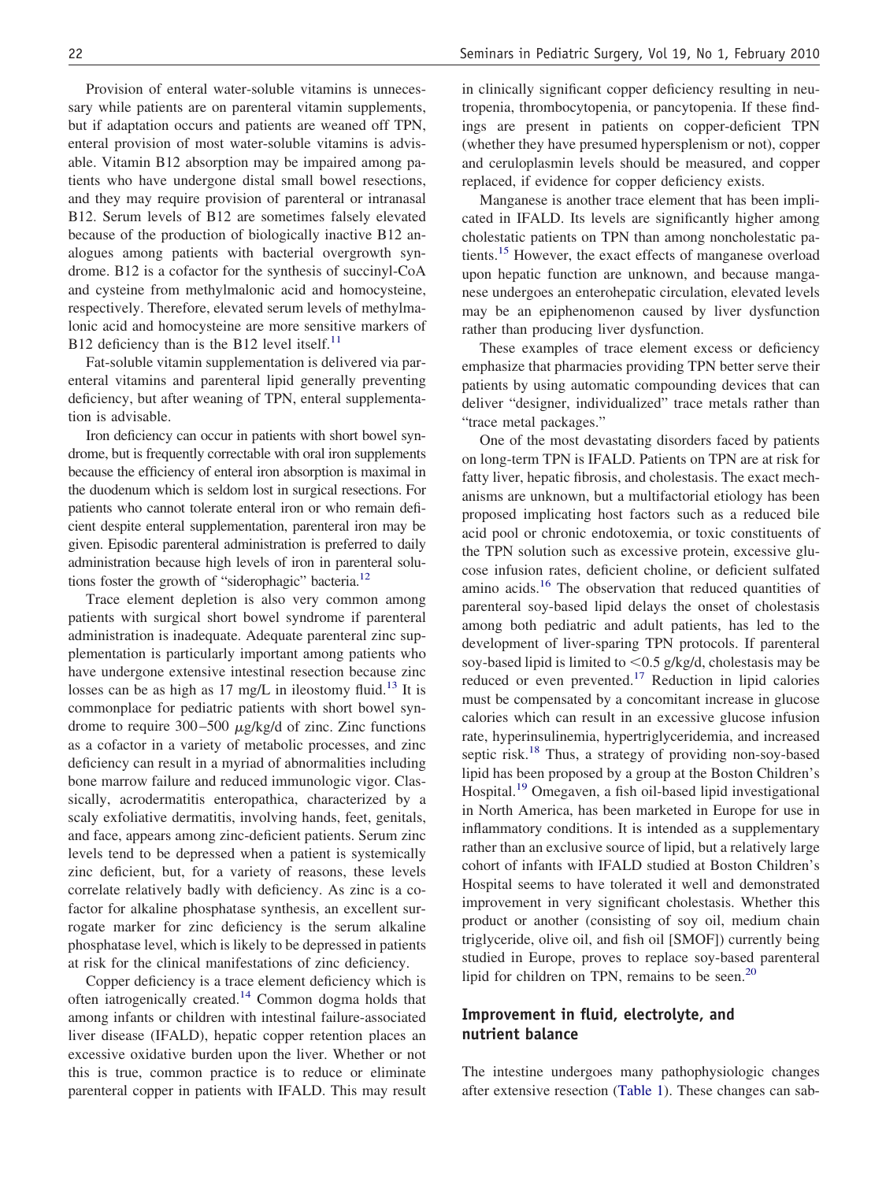Provision of enteral water-soluble vitamins is unnecessary while patients are on parenteral vitamin supplements, but if adaptation occurs and patients are weaned off TPN, enteral provision of most water-soluble vitamins is advisable. Vitamin B12 absorption may be impaired among patients who have undergone distal small bowel resections, and they may require provision of parenteral or intranasal B12. Serum levels of B12 are sometimes falsely elevated because of the production of biologically inactive B12 analogues among patients with bacterial overgrowth syndrome. B12 is a cofactor for the synthesis of succinyl-CoA and cysteine from methylmalonic acid and homocysteine, respectively. Therefore, elevated serum levels of methylmalonic acid and homocysteine are more sensitive markers of B12 deficiency than is the B12 level itself. $^{11}$  $^{11}$  $^{11}$ 

Fat-soluble vitamin supplementation is delivered via parenteral vitamins and parenteral lipid generally preventing deficiency, but after weaning of TPN, enteral supplementation is advisable.

Iron deficiency can occur in patients with short bowel syndrome, but is frequently correctable with oral iron supplements because the efficiency of enteral iron absorption is maximal in the duodenum which is seldom lost in surgical resections. For patients who cannot tolerate enteral iron or who remain deficient despite enteral supplementation, parenteral iron may be given. Episodic parenteral administration is preferred to daily administration because high levels of iron in parenteral solutions foster the growth of "siderophagic" bacteria.<sup>12</sup>

Trace element depletion is also very common among patients with surgical short bowel syndrome if parenteral administration is inadequate. Adequate parenteral zinc supplementation is particularly important among patients who have undergone extensive intestinal resection because zinc losses can be as high as  $17 \text{ mg/L}$  in ileostomy fluid.<sup>13</sup> It is commonplace for pediatric patients with short bowel syndrome to require  $300 - 500 \mu g/kg/d$  of zinc. Zinc functions as a cofactor in a variety of metabolic processes, and zinc deficiency can result in a myriad of abnormalities including bone marrow failure and reduced immunologic vigor. Classically, acrodermatitis enteropathica, characterized by a scaly exfoliative dermatitis, involving hands, feet, genitals, and face, appears among zinc-deficient patients. Serum zinc levels tend to be depressed when a patient is systemically zinc deficient, but, for a variety of reasons, these levels correlate relatively badly with deficiency. As zinc is a cofactor for alkaline phosphatase synthesis, an excellent surrogate marker for zinc deficiency is the serum alkaline phosphatase level, which is likely to be depressed in patients at risk for the clinical manifestations of zinc deficiency.

Copper deficiency is a trace element deficiency which is often iatrogenically created.[14](#page-5-0) Common dogma holds that among infants or children with intestinal failure-associated liver disease (IFALD), hepatic copper retention places an excessive oxidative burden upon the liver. Whether or not this is true, common practice is to reduce or eliminate parenteral copper in patients with IFALD. This may result

in clinically significant copper deficiency resulting in neutropenia, thrombocytopenia, or pancytopenia. If these findings are present in patients on copper-deficient TPN (whether they have presumed hypersplenism or not), copper and ceruloplasmin levels should be measured, and copper replaced, if evidence for copper deficiency exists.

Manganese is another trace element that has been implicated in IFALD. Its levels are significantly higher among cholestatic patients on TPN than among noncholestatic patients.[15](#page-5-0) However, the exact effects of manganese overload upon hepatic function are unknown, and because manganese undergoes an enterohepatic circulation, elevated levels may be an epiphenomenon caused by liver dysfunction rather than producing liver dysfunction.

These examples of trace element excess or deficiency emphasize that pharmacies providing TPN better serve their patients by using automatic compounding devices that can deliver "designer, individualized" trace metals rather than "trace metal packages."

One of the most devastating disorders faced by patients on long-term TPN is IFALD. Patients on TPN are at risk for fatty liver, hepatic fibrosis, and cholestasis. The exact mechanisms are unknown, but a multifactorial etiology has been proposed implicating host factors such as a reduced bile acid pool or chronic endotoxemia, or toxic constituents of the TPN solution such as excessive protein, excessive glucose infusion rates, deficient choline, or deficient sulfated amino acids[.16](#page-5-0) The observation that reduced quantities of parenteral soy-based lipid delays the onset of cholestasis among both pediatric and adult patients, has led to the development of liver-sparing TPN protocols. If parenteral soy-based lipid is limited to  $\leq 0.5$  g/kg/d, cholestasis may be reduced or even prevented[.17](#page-5-0) Reduction in lipid calories must be compensated by a concomitant increase in glucose calories which can result in an excessive glucose infusion rate, hyperinsulinemia, hypertriglyceridemia, and increased septic risk.<sup>18</sup> Thus, a strategy of providing non-soy-based lipid has been proposed by a group at the Boston Children's Hospital.<sup>[19](#page-5-0)</sup> Omegaven, a fish oil-based lipid investigational in North America, has been marketed in Europe for use in inflammatory conditions. It is intended as a supplementary rather than an exclusive source of lipid, but a relatively large cohort of infants with IFALD studied at Boston Children's Hospital seems to have tolerated it well and demonstrated improvement in very significant cholestasis. Whether this product or another (consisting of soy oil, medium chain triglyceride, olive oil, and fish oil [SMOF]) currently being studied in Europe, proves to replace soy-based parenteral lipid for children on TPN, remains to be seen.<sup>20</sup>

### **Improvement in fluid, electrolyte, and nutrient balance**

The intestine undergoes many pathophysiologic changes after extensive resection [\(Table 1\)](#page-3-0). These changes can sab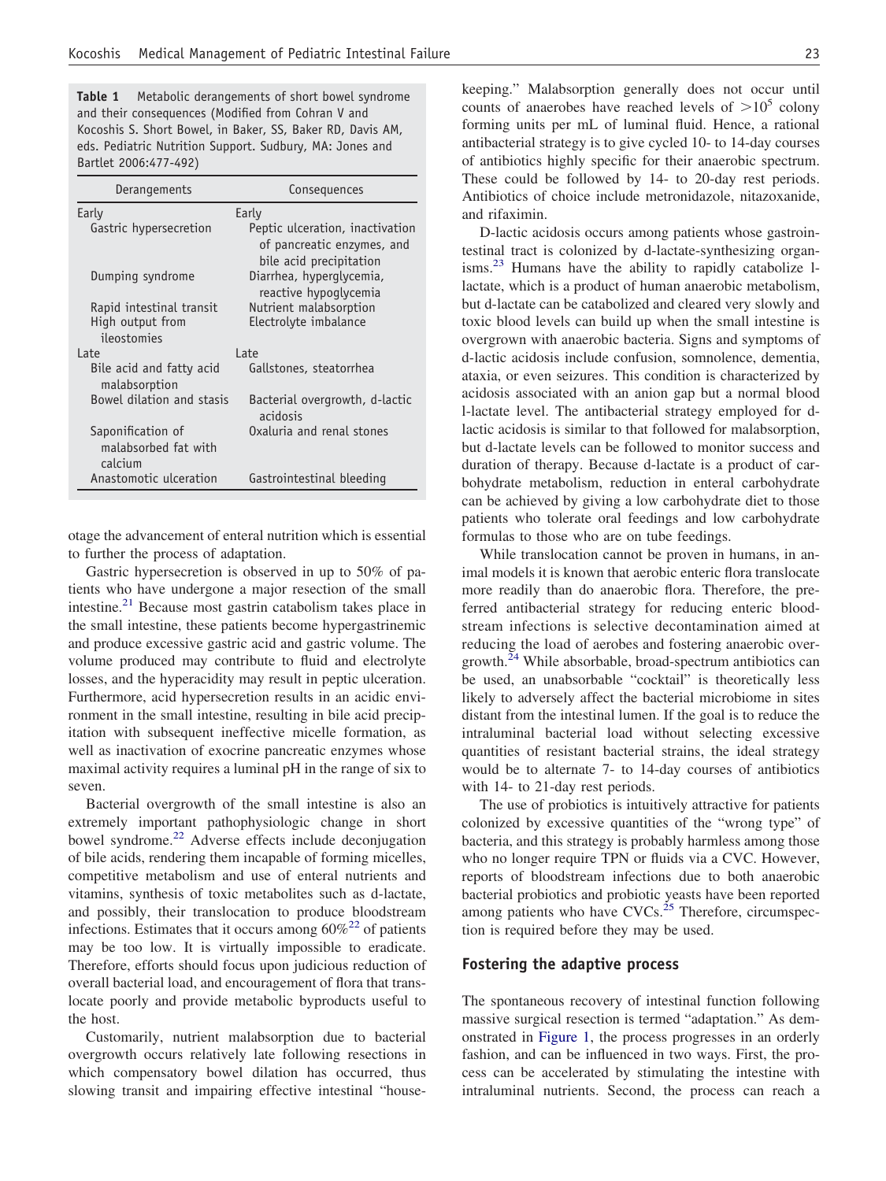<span id="page-3-0"></span>**Table 1** Metabolic derangements of short bowel syndrome and their consequences (Modified from Cohran V and Kocoshis S. Short Bowel, in Baker, SS, Baker RD, Davis AM, eds. Pediatric Nutrition Support. Sudbury, MA: Jones and Bartlet 2006:477-492)

| Derangements                                         | Consequences                                                                             |
|------------------------------------------------------|------------------------------------------------------------------------------------------|
| Early                                                | Early                                                                                    |
| Gastric hypersecretion                               | Peptic ulceration, inactivation<br>of pancreatic enzymes, and<br>bile acid precipitation |
| Dumping syndrome                                     | Diarrhea, hyperglycemia,<br>reactive hypoglycemia                                        |
| Rapid intestinal transit                             | Nutrient malabsorption                                                                   |
| High output from<br>ileostomies                      | Electrolyte imbalance                                                                    |
| Late                                                 | Late                                                                                     |
| Bile acid and fatty acid<br>malabsorption            | Gallstones, steatorrhea                                                                  |
| Bowel dilation and stasis                            | Bacterial overgrowth, d-lactic<br>acidosis                                               |
| Saponification of<br>malabsorbed fat with<br>calcium | Oxaluria and renal stones                                                                |
| Anastomotic ulceration                               | Gastrointestinal bleeding                                                                |

otage the advancement of enteral nutrition which is essential to further the process of adaptation.

Gastric hypersecretion is observed in up to 50% of patients who have undergone a major resection of the small intestine.[21](#page-5-0) Because most gastrin catabolism takes place in the small intestine, these patients become hypergastrinemic and produce excessive gastric acid and gastric volume. The volume produced may contribute to fluid and electrolyte losses, and the hyperacidity may result in peptic ulceration. Furthermore, acid hypersecretion results in an acidic environment in the small intestine, resulting in bile acid precipitation with subsequent ineffective micelle formation, as well as inactivation of exocrine pancreatic enzymes whose maximal activity requires a luminal pH in the range of six to seven.

Bacterial overgrowth of the small intestine is also an extremely important pathophysiologic change in short bowel syndrome.<sup>[22](#page-5-0)</sup> Adverse effects include deconjugation of bile acids, rendering them incapable of forming micelles, competitive metabolism and use of enteral nutrients and vitamins, synthesis of toxic metabolites such as d-lactate, and possibly, their translocation to produce bloodstream infections. Estimates that it occurs among  $60\%^{22}$  of patients may be too low. It is virtually impossible to eradicate. Therefore, efforts should focus upon judicious reduction of overall bacterial load, and encouragement of flora that translocate poorly and provide metabolic byproducts useful to the host.

Customarily, nutrient malabsorption due to bacterial overgrowth occurs relatively late following resections in which compensatory bowel dilation has occurred, thus slowing transit and impairing effective intestinal "housekeeping." Malabsorption generally does not occur until counts of anaerobes have reached levels of  $>10^5$  colony forming units per mL of luminal fluid. Hence, a rational antibacterial strategy is to give cycled 10- to 14-day courses of antibiotics highly specific for their anaerobic spectrum. These could be followed by 14- to 20-day rest periods. Antibiotics of choice include metronidazole, nitazoxanide, and rifaximin.

D-lactic acidosis occurs among patients whose gastrointestinal tract is colonized by d-lactate-synthesizing organisms[.23](#page-5-0) Humans have the ability to rapidly catabolize llactate, which is a product of human anaerobic metabolism, but d-lactate can be catabolized and cleared very slowly and toxic blood levels can build up when the small intestine is overgrown with anaerobic bacteria. Signs and symptoms of d-lactic acidosis include confusion, somnolence, dementia, ataxia, or even seizures. This condition is characterized by acidosis associated with an anion gap but a normal blood l-lactate level. The antibacterial strategy employed for dlactic acidosis is similar to that followed for malabsorption, but d-lactate levels can be followed to monitor success and duration of therapy. Because d-lactate is a product of carbohydrate metabolism, reduction in enteral carbohydrate can be achieved by giving a low carbohydrate diet to those patients who tolerate oral feedings and low carbohydrate formulas to those who are on tube feedings.

While translocation cannot be proven in humans, in animal models it is known that aerobic enteric flora translocate more readily than do anaerobic flora. Therefore, the preferred antibacterial strategy for reducing enteric bloodstream infections is selective decontamination aimed at reducing the load of aerobes and fostering anaerobic overgrowth.[24](#page-5-0) While absorbable, broad-spectrum antibiotics can be used, an unabsorbable "cocktail" is theoretically less likely to adversely affect the bacterial microbiome in sites distant from the intestinal lumen. If the goal is to reduce the intraluminal bacterial load without selecting excessive quantities of resistant bacterial strains, the ideal strategy would be to alternate 7- to 14-day courses of antibiotics with 14- to 21-day rest periods.

The use of probiotics is intuitively attractive for patients colonized by excessive quantities of the "wrong type" of bacteria, and this strategy is probably harmless among those who no longer require TPN or fluids via a CVC. However, reports of bloodstream infections due to both anaerobic bacterial probiotics and probiotic yeasts have been reported among patients who have  $CVCs$ <sup>[25](#page-5-0)</sup> Therefore, circumspection is required before they may be used.

#### **Fostering the adaptive process**

The spontaneous recovery of intestinal function following massive surgical resection is termed "adaptation." As demonstrated in [Figure 1,](#page-4-0) the process progresses in an orderly fashion, and can be influenced in two ways. First, the process can be accelerated by stimulating the intestine with intraluminal nutrients. Second, the process can reach a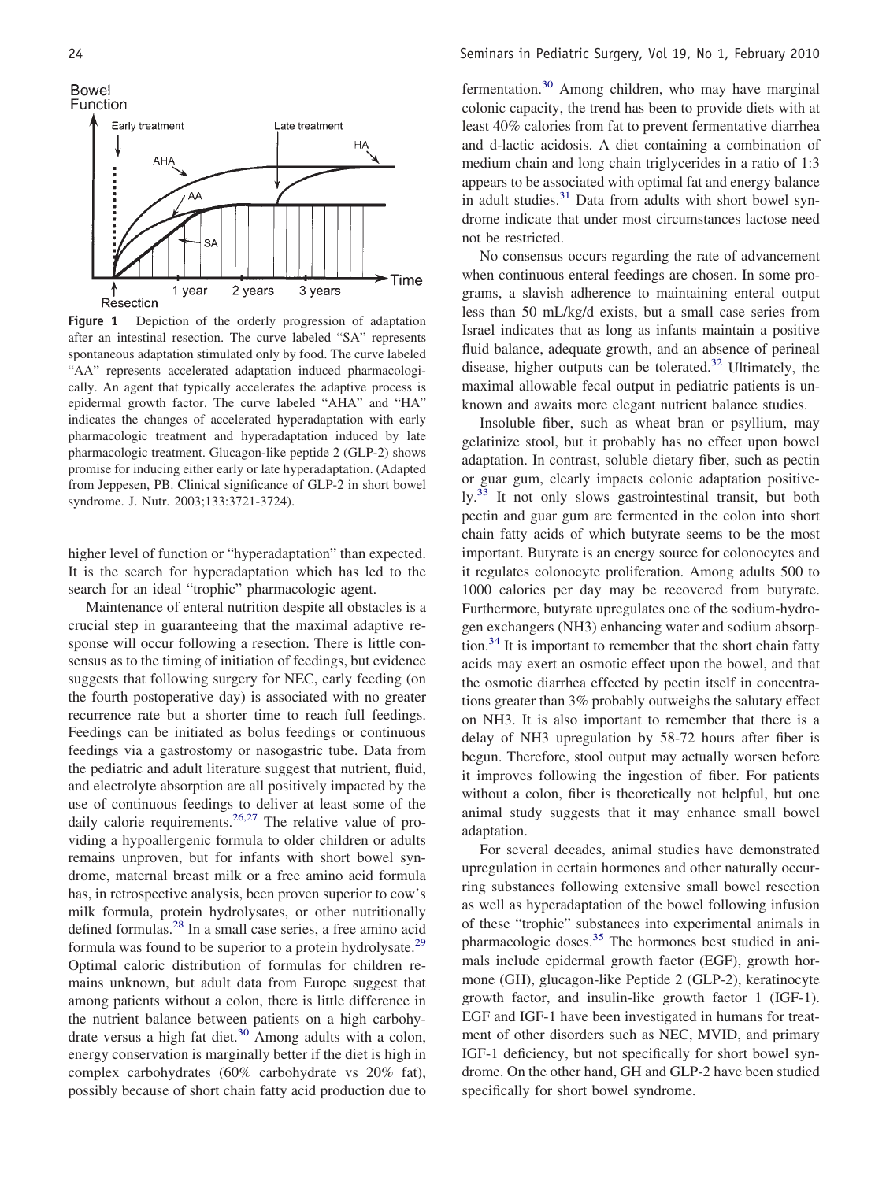<span id="page-4-0"></span>

**Figure 1** Depiction of the orderly progression of adaptation after an intestinal resection. The curve labeled "SA" represents spontaneous adaptation stimulated only by food. The curve labeled "AA" represents accelerated adaptation induced pharmacologically. An agent that typically accelerates the adaptive process is epidermal growth factor. The curve labeled "AHA" and "HA" indicates the changes of accelerated hyperadaptation with early pharmacologic treatment and hyperadaptation induced by late pharmacologic treatment. Glucagon-like peptide 2 (GLP-2) shows promise for inducing either early or late hyperadaptation. (Adapted from Jeppesen, PB. Clinical significance of GLP-2 in short bowel syndrome. J. Nutr. 2003;133:3721-3724).

higher level of function or "hyperadaptation" than expected. It is the search for hyperadaptation which has led to the search for an ideal "trophic" pharmacologic agent.

Maintenance of enteral nutrition despite all obstacles is a crucial step in guaranteeing that the maximal adaptive response will occur following a resection. There is little consensus as to the timing of initiation of feedings, but evidence suggests that following surgery for NEC, early feeding (on the fourth postoperative day) is associated with no greater recurrence rate but a shorter time to reach full feedings. Feedings can be initiated as bolus feedings or continuous feedings via a gastrostomy or nasogastric tube. Data from the pediatric and adult literature suggest that nutrient, fluid, and electrolyte absorption are all positively impacted by the use of continuous feedings to deliver at least some of the daily calorie requirements.  $26,27$  The relative value of providing a hypoallergenic formula to older children or adults remains unproven, but for infants with short bowel syndrome, maternal breast milk or a free amino acid formula has, in retrospective analysis, been proven superior to cow's milk formula, protein hydrolysates, or other nutritionally defined formulas.<sup>28</sup> In a small case series, a free amino acid formula was found to be superior to a protein hydrolysate.<sup>[29](#page-6-0)</sup> Optimal caloric distribution of formulas for children remains unknown, but adult data from Europe suggest that among patients without a colon, there is little difference in the nutrient balance between patients on a high carbohydrate versus a high fat diet.<sup>30</sup> Among adults with a colon, energy conservation is marginally better if the diet is high in complex carbohydrates (60% carbohydrate vs 20% fat), possibly because of short chain fatty acid production due to fermentation.[30](#page-6-0) Among children, who may have marginal colonic capacity, the trend has been to provide diets with at least 40% calories from fat to prevent fermentative diarrhea and d-lactic acidosis. A diet containing a combination of medium chain and long chain triglycerides in a ratio of 1:3 appears to be associated with optimal fat and energy balance in adult studies. $31$  Data from adults with short bowel syndrome indicate that under most circumstances lactose need not be restricted.

No consensus occurs regarding the rate of advancement when continuous enteral feedings are chosen. In some programs, a slavish adherence to maintaining enteral output less than 50 mL/kg/d exists, but a small case series from Israel indicates that as long as infants maintain a positive fluid balance, adequate growth, and an absence of perineal disease, higher outputs can be tolerated. $32$  Ultimately, the maximal allowable fecal output in pediatric patients is unknown and awaits more elegant nutrient balance studies.

Insoluble fiber, such as wheat bran or psyllium, may gelatinize stool, but it probably has no effect upon bowel adaptation. In contrast, soluble dietary fiber, such as pectin or guar gum, clearly impacts colonic adaptation positively.[33](#page-6-0) It not only slows gastrointestinal transit, but both pectin and guar gum are fermented in the colon into short chain fatty acids of which butyrate seems to be the most important. Butyrate is an energy source for colonocytes and it regulates colonocyte proliferation. Among adults 500 to 1000 calories per day may be recovered from butyrate. Furthermore, butyrate upregulates one of the sodium-hydrogen exchangers (NH3) enhancing water and sodium absorp-tion.<sup>[34](#page-6-0)</sup> It is important to remember that the short chain fatty acids may exert an osmotic effect upon the bowel, and that the osmotic diarrhea effected by pectin itself in concentrations greater than 3% probably outweighs the salutary effect on NH3. It is also important to remember that there is a delay of NH3 upregulation by 58-72 hours after fiber is begun. Therefore, stool output may actually worsen before it improves following the ingestion of fiber. For patients without a colon, fiber is theoretically not helpful, but one animal study suggests that it may enhance small bowel adaptation.

For several decades, animal studies have demonstrated upregulation in certain hormones and other naturally occurring substances following extensive small bowel resection as well as hyperadaptation of the bowel following infusion of these "trophic" substances into experimental animals in pharmacologic doses.[35](#page-6-0) The hormones best studied in animals include epidermal growth factor (EGF), growth hormone (GH), glucagon-like Peptide 2 (GLP-2), keratinocyte growth factor, and insulin-like growth factor 1 (IGF-1). EGF and IGF-1 have been investigated in humans for treatment of other disorders such as NEC, MVID, and primary IGF-1 deficiency, but not specifically for short bowel syndrome. On the other hand, GH and GLP-2 have been studied specifically for short bowel syndrome.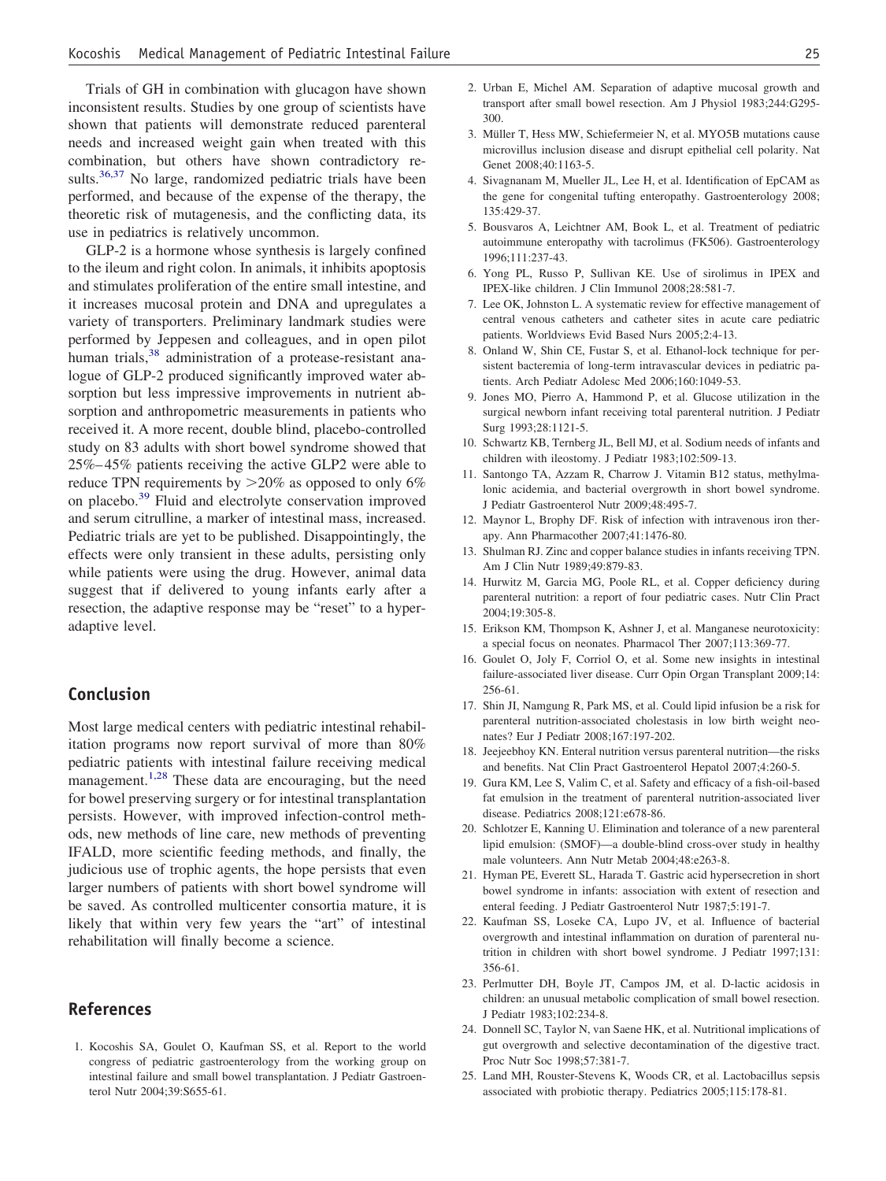<span id="page-5-0"></span>Trials of GH in combination with glucagon have shown inconsistent results. Studies by one group of scientists have shown that patients will demonstrate reduced parenteral needs and increased weight gain when treated with this combination, but others have shown contradictory re-sults.<sup>[36,37](#page-6-0)</sup> No large, randomized pediatric trials have been performed, and because of the expense of the therapy, the theoretic risk of mutagenesis, and the conflicting data, its use in pediatrics is relatively uncommon.

GLP-2 is a hormone whose synthesis is largely confined to the ileum and right colon. In animals, it inhibits apoptosis and stimulates proliferation of the entire small intestine, and it increases mucosal protein and DNA and upregulates a variety of transporters. Preliminary landmark studies were performed by Jeppesen and colleagues, and in open pilot human trials,<sup>38</sup> administration of a protease-resistant analogue of GLP-2 produced significantly improved water absorption but less impressive improvements in nutrient absorption and anthropometric measurements in patients who received it. A more recent, double blind, placebo-controlled study on 83 adults with short bowel syndrome showed that 25%– 45% patients receiving the active GLP2 were able to reduce TPN requirements by  $>20\%$  as opposed to only 6% on placebo.<sup>[39](#page-6-0)</sup> Fluid and electrolyte conservation improved and serum citrulline, a marker of intestinal mass, increased. Pediatric trials are yet to be published. Disappointingly, the effects were only transient in these adults, persisting only while patients were using the drug. However, animal data suggest that if delivered to young infants early after a resection, the adaptive response may be "reset" to a hyperadaptive level.

# **Conclusion**

Most large medical centers with pediatric intestinal rehabilitation programs now report survival of more than 80% pediatric patients with intestinal failure receiving medical management.<sup>1,28</sup> These data are encouraging, but the need for bowel preserving surgery or for intestinal transplantation persists. However, with improved infection-control methods, new methods of line care, new methods of preventing IFALD, more scientific feeding methods, and finally, the judicious use of trophic agents, the hope persists that even larger numbers of patients with short bowel syndrome will be saved. As controlled multicenter consortia mature, it is likely that within very few years the "art" of intestinal rehabilitation will finally become a science.

# **References**

1. Kocoshis SA, Goulet O, Kaufman SS, et al. Report to the world congress of pediatric gastroenterology from the working group on intestinal failure and small bowel transplantation. J Pediatr Gastroenterol Nutr 2004;39:S655-61.

- 2. Urban E, Michel AM. Separation of adaptive mucosal growth and transport after small bowel resection. Am J Physiol 1983;244:G295- 300.
- 3. Müller T, Hess MW, Schiefermeier N, et al. MYO5B mutations cause microvillus inclusion disease and disrupt epithelial cell polarity. Nat Genet 2008;40:1163-5.
- 4. Sivagnanam M, Mueller JL, Lee H, et al. Identification of EpCAM as the gene for congenital tufting enteropathy. Gastroenterology 2008; 135:429-37.
- 5. Bousvaros A, Leichtner AM, Book L, et al. Treatment of pediatric autoimmune enteropathy with tacrolimus (FK506). Gastroenterology 1996;111:237-43.
- 6. Yong PL, Russo P, Sullivan KE. Use of sirolimus in IPEX and IPEX-like children. J Clin Immunol 2008;28:581-7.
- 7. Lee OK, Johnston L. A systematic review for effective management of central venous catheters and catheter sites in acute care pediatric patients. Worldviews Evid Based Nurs 2005;2:4-13.
- 8. Onland W, Shin CE, Fustar S, et al. Ethanol-lock technique for persistent bacteremia of long-term intravascular devices in pediatric patients. Arch Pediatr Adolesc Med 2006;160:1049-53.
- 9. Jones MO, Pierro A, Hammond P, et al. Glucose utilization in the surgical newborn infant receiving total parenteral nutrition. J Pediatr Surg 1993;28:1121-5.
- 10. Schwartz KB, Ternberg JL, Bell MJ, et al. Sodium needs of infants and children with ileostomy. J Pediatr 1983;102:509-13.
- 11. Santongo TA, Azzam R, Charrow J. Vitamin B12 status, methylmalonic acidemia, and bacterial overgrowth in short bowel syndrome. J Pediatr Gastroenterol Nutr 2009;48:495-7.
- 12. Maynor L, Brophy DF. Risk of infection with intravenous iron therapy. Ann Pharmacother 2007;41:1476-80.
- 13. Shulman RJ. Zinc and copper balance studies in infants receiving TPN. Am J Clin Nutr 1989;49:879-83.
- 14. Hurwitz M, Garcia MG, Poole RL, et al. Copper deficiency during parenteral nutrition: a report of four pediatric cases. Nutr Clin Pract 2004;19:305-8.
- 15. Erikson KM, Thompson K, Ashner J, et al. Manganese neurotoxicity: a special focus on neonates. Pharmacol Ther 2007;113:369-77.
- 16. Goulet O, Joly F, Corriol O, et al. Some new insights in intestinal failure-associated liver disease. Curr Opin Organ Transplant 2009;14: 256-61.
- 17. Shin JI, Namgung R, Park MS, et al. Could lipid infusion be a risk for parenteral nutrition-associated cholestasis in low birth weight neonates? Eur J Pediatr 2008;167:197-202.
- 18. Jeejeebhoy KN. Enteral nutrition versus parenteral nutrition—the risks and benefits. Nat Clin Pract Gastroenterol Hepatol 2007;4:260-5.
- 19. Gura KM, Lee S, Valim C, et al. Safety and efficacy of a fish-oil-based fat emulsion in the treatment of parenteral nutrition-associated liver disease. Pediatrics 2008;121:e678-86.
- 20. Schlotzer E, Kanning U. Elimination and tolerance of a new parenteral lipid emulsion: (SMOF)—a double-blind cross-over study in healthy male volunteers. Ann Nutr Metab 2004;48:e263-8.
- 21. Hyman PE, Everett SL, Harada T. Gastric acid hypersecretion in short bowel syndrome in infants: association with extent of resection and enteral feeding. J Pediatr Gastroenterol Nutr 1987;5:191-7.
- 22. Kaufman SS, Loseke CA, Lupo JV, et al. Influence of bacterial overgrowth and intestinal inflammation on duration of parenteral nutrition in children with short bowel syndrome. J Pediatr 1997;131: 356-61.
- 23. Perlmutter DH, Boyle JT, Campos JM, et al. D-lactic acidosis in children: an unusual metabolic complication of small bowel resection. J Pediatr 1983;102:234-8.
- 24. Donnell SC, Taylor N, van Saene HK, et al. Nutritional implications of gut overgrowth and selective decontamination of the digestive tract. Proc Nutr Soc 1998;57:381-7.
- 25. Land MH, Rouster-Stevens K, Woods CR, et al. Lactobacillus sepsis associated with probiotic therapy. Pediatrics 2005;115:178-81.